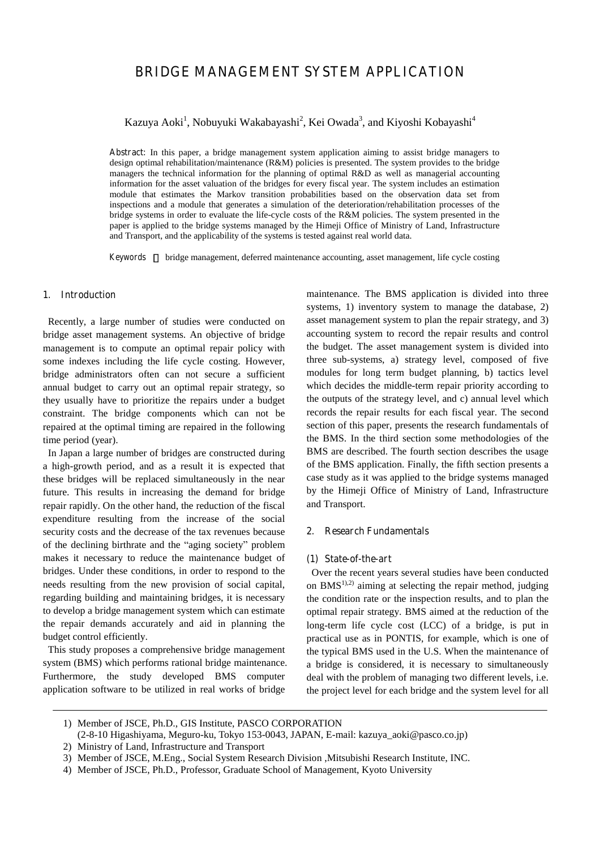# **BRIDGE MANAGEMENT SYSTEM APPLICATION**

Kazuya Aoki<sup>1</sup>, Nobuyuki Wakabayashi<sup>2</sup>, Kei Owada<sup>3</sup>, and Kiyoshi Kobayashi<sup>4</sup>

**Abstract:** In this paper, a bridge management system application aiming to assist bridge managers to design optimal rehabilitation/maintenance (R&M) policies is presented. The system provides to the bridge managers the technical information for the planning of optimal R&D as well as managerial accounting information for the asset valuation of the bridges for every fiscal year. The system includes an estimation module that estimates the Markov transition probabilities based on the observation data set from inspections and a module that generates a simulation of the deterioration/rehabilitation processes of the bridge systems in order to evaluate the life-cycle costs of the R&M policies. The system presented in the paper is applied to the bridge systems managed by the Himeji Office of Ministry of Land, Infrastructure and Transport, and the applicability of the systems is tested against real world data.

*Keywords* bridge management, deferred maintenance accounting, asset management, life cycle costing

## **1. Introduction**

Recently, a large number of studies were conducted on bridge asset management systems. An objective of bridge management is to compute an optimal repair policy with some indexes including the life cycle costing. However, bridge administrators often can not secure a sufficient annual budget to carry out an optimal repair strategy, so they usually have to prioritize the repairs under a budget constraint. The bridge components which can not be repaired at the optimal timing are repaired in the following time period (year).

In Japan a large number of bridges are constructed during a high-growth period, and as a result it is expected that these bridges will be replaced simultaneously in the near future. This results in increasing the demand for bridge repair rapidly. On the other hand, the reduction of the fiscal expenditure resulting from the increase of the social security costs and the decrease of the tax revenues because of the declining birthrate and the "aging society" problem makes it necessary to reduce the maintenance budget of bridges. Under these conditions, in order to respond to the needs resulting from the new provision of social capital, regarding building and maintaining bridges, it is necessary to develop a bridge management system which can estimate the repair demands accurately and aid in planning the budget control efficiently.

This study proposes a comprehensive bridge management system (BMS) which performs rational bridge maintenance. Furthermore, the study developed BMS computer application software to be utilized in real works of bridge

maintenance. The BMS application is divided into three systems, 1) inventory system to manage the database, 2) asset management system to plan the repair strategy, and 3) accounting system to record the repair results and control the budget. The asset management system is divided into three sub-systems, a) strategy level, composed of five modules for long term budget planning, b) tactics level which decides the middle-term repair priority according to the outputs of the strategy level, and c) annual level which records the repair results for each fiscal year. The second section of this paper, presents the research fundamentals of the BMS. In the third section some methodologies of the BMS are described. The fourth section describes the usage of the BMS application. Finally, the fifth section presents a case study as it was applied to the bridge systems managed by the Himeji Office of Ministry of Land, Infrastructure and Transport.

#### **2. Research Fundamentals**

#### **(1) State-of-the-art**

Over the recent years several studies have been conducted on  $BMS<sup>1),2)</sup>$  aiming at selecting the repair method, judging the condition rate or the inspection results, and to plan the optimal repair strategy. BMS aimed at the reduction of the long-term life cycle cost (LCC) of a bridge, is put in practical use as in PONTIS, for example, which is one of the typical BMS used in the U.S. When the maintenance of a bridge is considered, it is necessary to simultaneously deal with the problem of managing two different levels, i.e. the project level for each bridge and the system level for all

<sup>1)</sup> Member of JSCE, Ph.D., GIS Institute, PASCO CORPORATION (2-8-10 Higashiyama, Meguro-ku, Tokyo 153-0043, JAPAN, E-mail: kazuya\_aoki@pasco.co.jp)

<sup>2)</sup> Ministry of Land, Infrastructure and Transport

<sup>3)</sup> Member of JSCE, M.Eng., Social System Research Division ,Mitsubishi Research Institute, INC.

<sup>4)</sup> Member of JSCE, Ph.D., Professor, Graduate School of Management, Kyoto University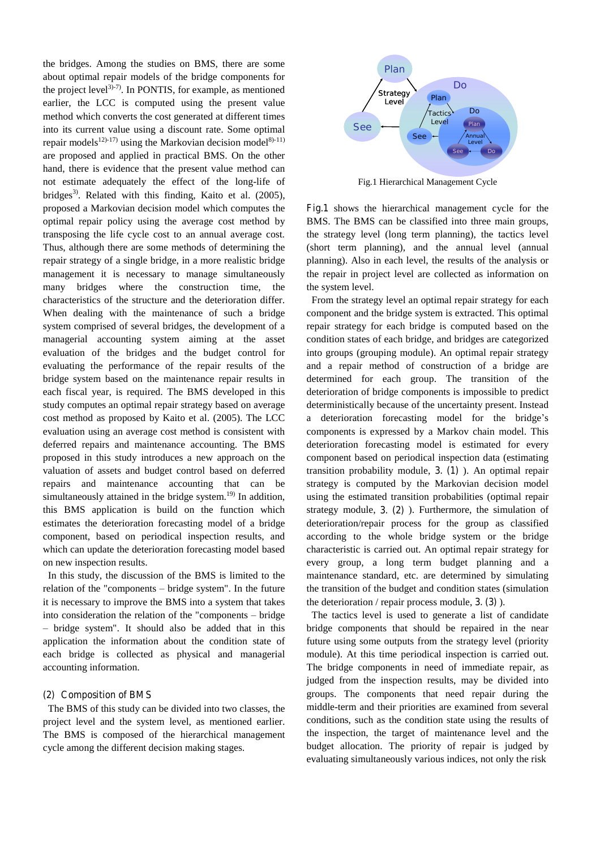the bridges. Among the studies on BMS, there are some about optimal repair models of the bridge components for the project level<sup>3 $)$ -7)</sup>. In PONTIS, for example, as mentioned earlier, the LCC is computed using the present value method which converts the cost generated at different times into its current value using a discount rate. Some optimal repair models<sup>12)-17)</sup> using the Markovian decision model<sup>8)-11)</sup> are proposed and applied in practical BMS. On the other hand, there is evidence that the present value method can not estimate adequately the effect of the long-life of bridges<sup>3)</sup>. Related with this finding, Kaito et al. (2005), proposed a Markovian decision model which computes the optimal repair policy using the average cost method by transposing the life cycle cost to an annual average cost. Thus, although there are some methods of determining the repair strategy of a single bridge, in a more realistic bridge management it is necessary to manage simultaneously many bridges where the construction time, the characteristics of the structure and the deterioration differ. When dealing with the maintenance of such a bridge system comprised of several bridges, the development of a managerial accounting system aiming at the asset evaluation of the bridges and the budget control for evaluating the performance of the repair results of the bridge system based on the maintenance repair results in each fiscal year, is required. The BMS developed in this study computes an optimal repair strategy based on average cost method as proposed by Kaito et al. (2005). The LCC evaluation using an average cost method is consistent with deferred repairs and maintenance accounting. The BMS proposed in this study introduces a new approach on the valuation of assets and budget control based on deferred repairs and maintenance accounting that can be simultaneously attained in the bridge system.<sup>19)</sup> In addition, this BMS application is build on the function which estimates the deterioration forecasting model of a bridge component, based on periodical inspection results, and which can update the deterioration forecasting model based on new inspection results.

In this study, the discussion of the BMS is limited to the relation of the "components – bridge system". In the future it is necessary to improve the BMS into a system that takes into consideration the relation of the "components – bridge – bridge system". It should also be added that in this application the information about the condition state of each bridge is collected as physical and managerial accounting information.

## **(2) Composition of BMS**

The BMS of this study can be divided into two classes, the project level and the system level, as mentioned earlier. The BMS is composed of the hierarchical management cycle among the different decision making stages.



Fig.1 Hierarchical Management Cycle

**Fig.1** shows the hierarchical management cycle for the BMS. The BMS can be classified into three main groups, the strategy level (long term planning), the tactics level (short term planning), and the annual level (annual planning). Also in each level, the results of the analysis or the repair in project level are collected as information on the system level.

From the strategy level an optimal repair strategy for each component and the bridge system is extracted. This optimal repair strategy for each bridge is computed based on the condition states of each bridge, and bridges are categorized into groups (grouping module). An optimal repair strategy and a repair method of construction of a bridge are determined for each group. The transition of the deterioration of bridge components is impossible to predict deterministically because of the uncertainty present. Instead a deterioration forecasting model for the bridge's components is expressed by a Markov chain model. This deterioration forecasting model is estimated for every component based on periodical inspection data (estimating transition probability module, **3. (1)** ). An optimal repair strategy is computed by the Markovian decision model using the estimated transition probabilities (optimal repair strategy module, **3. (2)** ). Furthermore, the simulation of deterioration/repair process for the group as classified according to the whole bridge system or the bridge characteristic is carried out. An optimal repair strategy for every group, a long term budget planning and a maintenance standard, etc. are determined by simulating the transition of the budget and condition states (simulation the deterioration / repair process module, **3. (3)** ).

The tactics level is used to generate a list of candidate bridge components that should be repaired in the near future using some outputs from the strategy level (priority module). At this time periodical inspection is carried out. The bridge components in need of immediate repair, as judged from the inspection results, may be divided into groups. The components that need repair during the middle-term and their priorities are examined from several conditions, such as the condition state using the results of the inspection, the target of maintenance level and the budget allocation. The priority of repair is judged by evaluating simultaneously various indices, not only the risk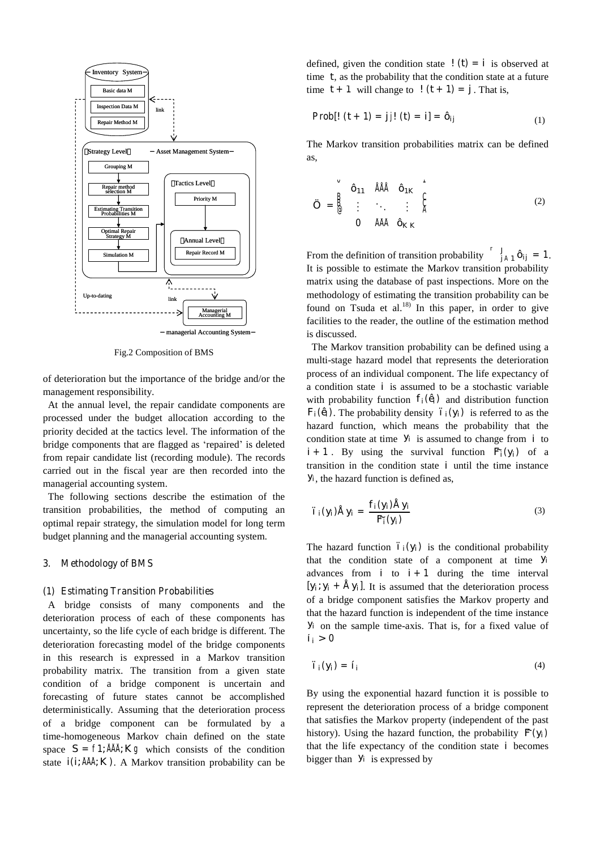

Fig.2 Composition of BMS

of deterioration but the importance of the bridge and/or the management responsibility.

At the annual level, the repair candidate components are processed under the budget allocation according to the priority decided at the tactics level. The information of the bridge components that are flagged as 'repaired' is deleted from repair candidate list (recording module). The records carried out in the fiscal year are then recorded into the managerial accounting system.

The following sections describe the estimation of the transition probabilities, the method of computing an optimal repair strategy, the simulation model for long term budget planning and the managerial accounting system.

#### **3. Methodology of BMS**

#### **(1) Estimating Transition Probabilities**

A bridge consists of many components and the deterioration process of each of these components has uncertainty, so the life cycle of each bridge is different. The deterioration forecasting model of the bridge components in this research is expressed in a Markov transition probability matrix. The transition from a given state condition of a bridge component is uncertain and forecasting of future states cannot be accomplished deterministically. Assuming that the deterioration process of a bridge component can be formulated by a time-homogeneous Markov chain defined on the state space  $S = f1$ ;  $\hat{A} \hat{A} \hat{A}$  Kg which consists of the condition state  $i(i; \cancel{\text{AM}} K)$ . A Markov transition probability can be

defined, given the condition state  $\cdot$  (t) = i is observed at time t, as the probability that the condition state at a future time  $t + 1$  will change to  $\frac{1}{t + 1} = j$ . That is,

Prob[! (t + 1) = j]! (t) = i] = 
$$
\hat{Q}_j
$$
 (1)

The Markov transition probabilities matrix can be defined as,

$$
\ddot{O} = \frac{B}{\omega} \begin{matrix} \hat{O}_{11} & \hat{A} \hat{A} \hat{A} & \hat{O}_{1K} \\ \vdots & \ddots & \vdots \\ 0 & \hat{A} \hat{A} \hat{A} & \hat{O}_{K} \hat{K} \end{matrix} \begin{matrix} \cdot & \cdot & \cdot \\ \cdot & \cdot & \cdot \\ \cdot & \cdot & \cdot \\ \cdot & \cdot & \cdot \end{matrix} \begin{matrix} \cdot & \cdot & \cdot \\ \cdot & \cdot & \cdot \\ \cdot & \cdot & \cdot \end{matrix} \tag{2}
$$

From the definition of transition probability  $\int_{j\hat{A}1}^{J} \hat{Q}_j = 1$ . It is possible to estimate the Markov transition probability matrix using the database of past inspections. More on the methodology of estimating the transition probability can be found on Tsuda et al.<sup>18)</sup> In this paper, in order to give facilities to the reader, the outline of the estimation method is discussed.

The Markov transition probability can be defined using a multi-stage hazard model that represents the deterioration process of an individual component. The life expectancy of a condition state i is assumed to be a stochastic variable with probability function  $f_i(\hat{\theta})$  and distribution function  $F_i(\hat{e}_i)$ . The probability density  $i_i(y_i)$  is referred to as the hazard function, which means the probability that the condition state at time  $y_i$  is assumed to change from i to  $i + 1$ . By using the survival function  $F_i(y_i)$  of a transition in the condition state i until the time instance yi, the hazard function is defined as,

$$
T_i(y_i)\hat{A}y_i = \frac{f_i(y_i)\hat{A}y_i}{F_i(y_i)}
$$
(3)

The hazard function  $\ddot{i}$  ( $y_i$ ) is the conditional probability that the condition state of a component at time y<sup>i</sup> advances from  $i$  to  $i + 1$  during the time interval  $[y_i; y_i + Ay_i]$ . It is assumed that the deterioration process of a bridge component satisfies the Markov property and that the hazard function is independent of the time instance y<sup>i</sup> on the sample time-axis. That is, for a fixed value of  $i_i > 0$ 

$$
T_i(y_i) = f_i \tag{4}
$$

By using the exponential hazard function it is possible to represent the deterioration process of a bridge component that satisfies the Markov property (independent of the past history). Using the hazard function, the probability  $\bar{F}(\mathsf{y}_i)$ that the life expectancy of the condition state i becomes bigger than  $y_i$  is expressed by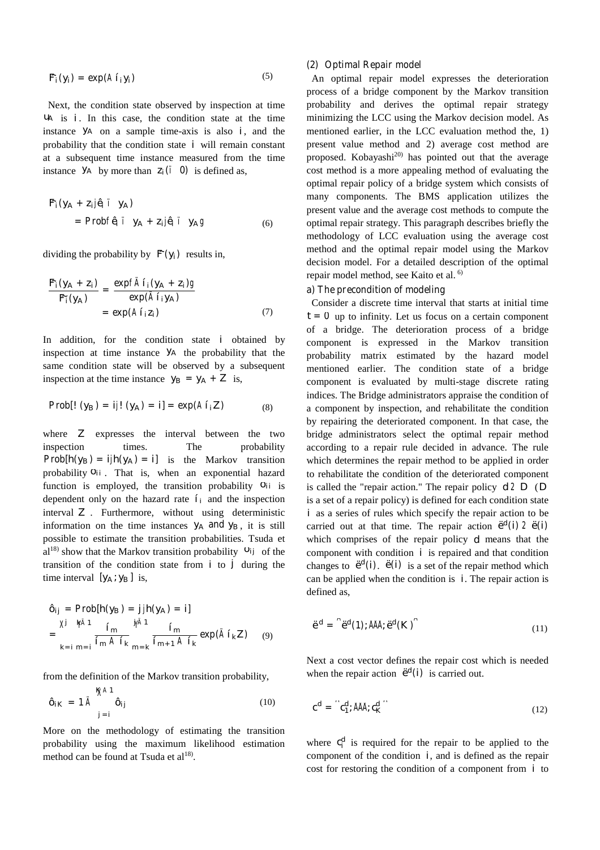$$
F_i(y_i) = \exp(\mathbf{A}f_i y_i) \tag{5}
$$

Next, the condition state observed by inspection at time ú<sup>A</sup> is i. In this case, the condition state at the time instance y<sup>A</sup> on a sample time-axis is also i, and the probability that the condition state i will remain constant at a subsequent time instance measured from the time instance  $\forall A$  by more than  $Z_i(i \ 0)$  is defined as,

$$
F_i(y_A + z_i \hat{j} \hat{\theta} i y_A)
$$
  
= Prob f \hat{\theta} i y\_A + z\_i \hat{j} \hat{\theta} i y\_A g (6)

dividing the probability by  $F(y_i)$  results in,

$$
\frac{F_i(y_A + z_i)}{F_i(y_A)} = \frac{\exp f \widetilde{A} i_i(y_A + z_i)g}{\exp(\widetilde{A} i_i y_A)} = \exp(\widetilde{A} i_i z_i)
$$
\n(7)

In addition, for the condition state i obtained by inspection at time instance  $YA$  the probability that the same condition state will be observed by a subsequent inspection at the time instance  $y_B = y_A + Z$  is,

$$
Prob[! (yB) = ij! (yA) = i] = exp(\tilde{A}ii Z)
$$
 (8)

where Z expresses the interval between the two inspection times. The probability  $Prob[h(y_B) = ijh(y_A) = i]$  is the Markov transition probability  $Q_i$ . That is, when an exponential hazard function is employed, the transition probability  $Q_i$  is dependent only on the hazard rate  $i_i$  and the inspection interval Z . Furthermore, without using deterministic information on the time instances  $y_A$  and  $y_B$ , it is still possible to estimate the transition probabilities. Tsuda et  $al^{18}$  show that the Markov transition probability  $Q_j$  of the transition of the condition state from i to j during the time interval  $[y_A; y_B]$  is,

$$
\hat{Q}_{j} = Prob[h(y_{B}) = jjh(y_{A}) = i]
$$
\n
$$
= \frac{\dot{X} + \dot{X}^{i,j}}{X^{i,j}} \frac{\dot{I}_{m} - \dot{X}^{i,j}}{\dot{I}_{m} + \dot{A}^{i,j}} \frac{\dot{I}_{m}}{X^{i,j}} \exp(\ddot{A}i_{k}Z) \quad (9)
$$

from the definition of the Markov transition probability,

$$
\hat{Q}_K = 1 \dot{A}^{K \hat{X}^{\hat{A}1}} \hat{Q}_j
$$
 (10)

More on the methodology of estimating the transition probability using the maximum likelihood estimation method can be found at Tsuda et al<sup>18)</sup>.

### **(2) Optimal Repair model**

An optimal repair model expresses the deterioration process of a bridge component by the Markov transition probability and derives the optimal repair strategy minimizing the LCC using the Markov decision model. As mentioned earlier, in the LCC evaluation method the, 1) present value method and 2) average cost method are proposed. Kobayashi 20) has pointed out that the average cost method is a more appealing method of evaluating the optimal repair policy of a bridge system which consists of many components. The BMS application utilizes the present value and the average cost methods to compute the optimal repair strategy. This paragraph describes briefly the methodology of LCC evaluation using the average cost method and the optimal repair model using the Markov decision model. For a detailed description of the optimal repair model method, see Kaito et al. 6)

## **a) The precondition of modeling**

Consider a discrete time interval that starts at initial time  $t = 0$  up to infinity. Let us focus on a certain component of a bridge. The deterioration process of a bridge component is expressed in the Markov transition probability matrix estimated by the hazard model mentioned earlier. The condition state of a bridge component is evaluated by multi-stage discrete rating indices. The Bridge administrators appraise the condition of a component by inspection, and rehabilitate the condition by repairing the deteriorated component. In that case, the bridge administrators select the optimal repair method according to a repair rule decided in advance. The rule which determines the repair method to be applied in order to rehabilitate the condition of the deteriorated component is called the "repair action." The repair policy d 2 D (D is a set of a repair policy) is defined for each condition state i as a series of rules which specify the repair action to be carried out at that time. The repair action  $\vec{e}^{\text{d}}(i)$  2  $\vec{e}(i)$ which comprises of the repair policy d means that the component with condition i is repaired and that condition changes to  $\vec{e}^{\vec{l}}(i)$ .  $\vec{e}(i)$  is a set of the repair method which can be applied when the condition is i. The repair action is defined as,

$$
\ddot{\mathbf{e}}^{\mathbf{d}} = \mathbf{G}^{\mathbf{d}}(1); \mathbf{A}\mathbf{A}\mathbf{A}\mathbf{B}^{\mathbf{d}}(K)^{\mathbf{d}} \tag{11}
$$

Next a cost vector defines the repair cost which is needed when the repair action  $\mathbf{e}^d$  (i) is carried out.

$$
c^{d} = {}^{n}c_{1}^{d}, \cancel{A}^{d}\cancel{A}^{d}c_{K}^{d} \tag{12}
$$

where  $c_i^d$  is required for the repair to be applied to the component of the condition i, and is defined as the repair cost for restoring the condition of a component from i to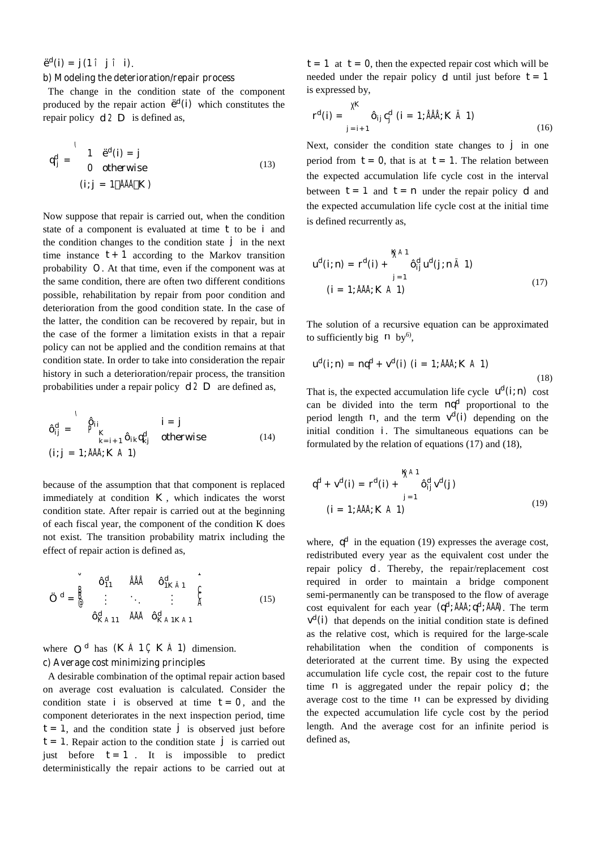## $\vec{e}^{d}(i) = j(1 \hat{i} \hat{j} \hat{i})$ .

## **b) Modeling the deterioration/repair process**

The change in the condition state of the component produced by the repair action  $\dot{\mathbf{e}}^{\mathbf{d}}(\mathbf{i})$  which constitutes the repair policy d 2 D is defined as,

$$
q_{ij}^{d} = \begin{cases} 1 & \dot{\Theta}^{d}(i) = j \\ 0 & \text{otherwise} \end{cases}
$$
 (13)  
(i; j = 1  $\overrightarrow{A} \overrightarrow{A} K$ )

Now suppose that repair is carried out, when the condition state of a component is evaluated at time t to be i and the condition changes to the condition state j in the next time instance  $t + 1$  according to the Markov transition probability Ö. At that time, even if the component was at the same condition, there are often two different conditions possible, rehabilitation by repair from poor condition and deterioration from the good condition state. In the case of the latter, the condition can be recovered by repair, but in the case of the former a limitation exists in that a repair policy can not be applied and the condition remains at that condition state. In order to take into consideration the repair history in such a deterioration/repair process, the transition probabilities under a repair policy d 2 D are defined as,

$$
\hat{q}_{j}^{d} = \begin{cases} \hat{q}_{i} & i = j \\ K & k = i + 1 \hat{Q}_{k} q_{kj}^{d} & otherwise \end{cases}
$$
\n(14)  
\n(i; j = 1;  $\hat{A} \hat{A} \hat{A} \hat{A} \hat{A}$  1)

because of the assumption that that component is replaced immediately at condition K, which indicates the worst condition state. After repair is carried out at the beginning of each fiscal year, the component of the condition K does not exist. The transition probability matrix including the effect of repair action is defined as,

$$
\ddot{O}^{d} = \begin{matrix} \ddot{O}_{11}^{d} & \ddot{A} \ddot{A} \ddot{A} & \dot{O}_{1K \ddot{A}1}^{d} \\ \vdots & \ddots & \vdots & \ddot{A} \\ \ddot{O}_{K \ddot{A}11} & \ddot{A} \ddot{A} \ddot{A} & \dot{O}_{K \ddot{A}1K \ddot{A}1}^{d} \end{matrix} \tag{15}
$$

where  $\ddot{O}$ <sup>d</sup> has (K  $\dot{A}$  1 C K  $\dot{A}$  1) dimension. **c) Average cost minimizing principles**

A desirable combination of the optimal repair action based on average cost evaluation is calculated. Consider the condition state i is observed at time  $t = 0$ , and the component deteriorates in the next inspection period, time  $t = 1$ , and the condition state j is observed just before  $t = 1$ . Repair action to the condition state j is carried out just before  $t = 1$ . It is impossible to predict deterministically the repair actions to be carried out at  $t = 1$  at  $t = 0$ , then the expected repair cost which will be needed under the repair policy d until just before  $t = 1$ is expressed by,

$$
r^{d}(i) = \sum_{j=i+1}^{M} \hat{Q}_{j} c_{j}^{d} (i = 1; \hat{A}^{A}_{i} \hat{A}^{A}_{i} K A 1)
$$
\n(16)

Next, consider the condition state changes to  $j$  in one period from  $t = 0$ , that is at  $t = 1$ . The relation between the expected accumulation life cycle cost in the interval between  $t = 1$  and  $t = n$  under the repair policy d and the expected accumulation life cycle cost at the initial time is defined recurrently as,

$$
u^{d}(i; n) = r^{d}(i) + \sum_{j=1}^{1} \hat{d}_{j}^{d} u^{d}(j; n \times 1)
$$
  
(i = 1; ÅÅK Å 1) (17)

The solution of a recursive equation can be approximated to sufficiently big  $\[ \mathsf{n} \]$  by<sup>6)</sup>,

$$
u^{d}(i; n) = nq^{d} + v^{d}(i) \ (i = 1; \overrightarrow{A A A K A 1})
$$
\n(18)

That is, the expected accumulation life cycle  $u^{d}(i; n)$  cost can be divided into the term  $nq<sup>d</sup>$  proportional to the period length  $n$ , and the term  $V^d(i)$  depending on the initial condition i. The simultaneous equations can be formulated by the relation of equations (17) and (18),

$$
q^{d} + v^{d}(i) = r^{d}(i) + \sum_{j=1}^{15 \times 10^{d} \text{ of } j} v^{d}(j)
$$
  
(i = 1;  $\overrightarrow{A} \overrightarrow{A} \times A$  1) (19)

where,  $q<sup>d</sup>$  in the equation (19) expresses the average cost, redistributed every year as the equivalent cost under the repair policy d . Thereby, the repair/replacement cost required in order to maintain a bridge component semi-permanently can be transposed to the flow of average cost equivalent for each year  $(q^d; \cancel{A} \cancel{A} \cancel{A})$ . The term  $v<sup>d</sup>(i)$  that depends on the initial condition state is defined as the relative cost, which is required for the large-scale rehabilitation when the condition of components is deteriorated at the current time. By using the expected accumulation life cycle cost, the repair cost to the future time  $\[\Box\]$  is aggregated under the repair policy d; the average cost to the time  $n$  can be expressed by dividing the expected accumulation life cycle cost by the period length. And the average cost for an infinite period is defined as,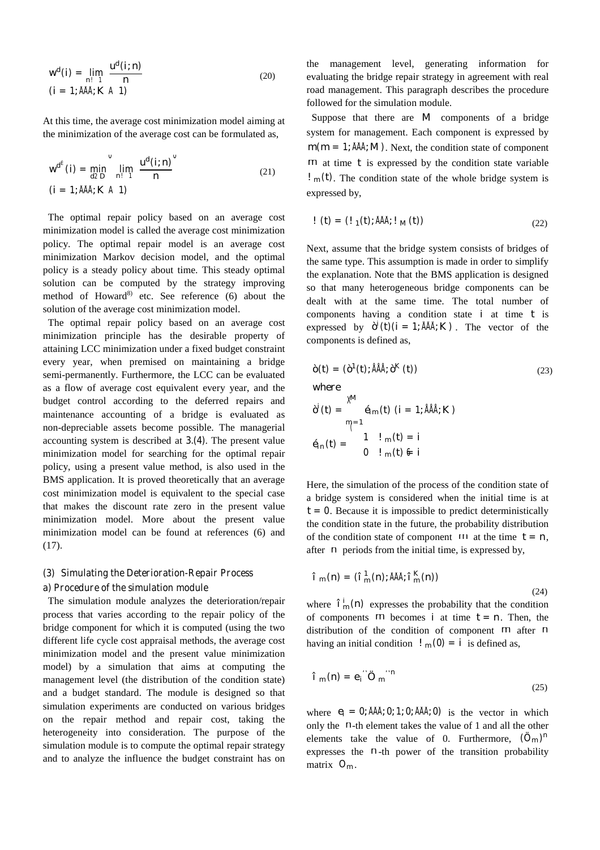$$
w^{d}(i) = \lim_{n! \to \infty} \frac{u^{d}(i; n)}{n}
$$
  
(i = 1; ÄÄK A 1) (20)

At this time, the average cost minimization model aiming at the minimization of the average cost can be formulated as,

$$
w^{d^{E}}(i) = \min_{d \ge D} \lim_{n! \ 1} \frac{u^{d}(i; n)}{n}
$$
  
(i = 1; **AM**, K **A** 1) (21)

The optimal repair policy based on an average cost minimization model is called the average cost minimization policy. The optimal repair model is an average cost minimization Markov decision model, and the optimal policy is a steady policy about time. This steady optimal solution can be computed by the strategy improving method of Howard<sup>8)</sup> etc. See reference  $(6)$  about the solution of the average cost minimization model.

The optimal repair policy based on an average cost minimization principle has the desirable property of attaining LCC minimization under a fixed budget constraint every year, when premised on maintaining a bridge semi-permanently. Furthermore, the LCC can be evaluated as a flow of average cost equivalent every year, and the budget control according to the deferred repairs and maintenance accounting of a bridge is evaluated as non-depreciable assets become possible. The managerial accounting system is described at **3.(4)**. The present value minimization model for searching for the optimal repair policy, using a present value method, is also used in the BMS application. It is proved theoretically that an average cost minimization model is equivalent to the special case that makes the discount rate zero in the present value minimization model. More about the present value minimization model can be found at references (6) and (17).

## **(3) Simulating the Deterioration-Repair Process**

#### **a) Procedure of the simulation module**

The simulation module analyzes the deterioration/repair process that varies according to the repair policy of the bridge component for which it is computed (using the two different life cycle cost appraisal methods, the average cost minimization model and the present value minimization model) by a simulation that aims at computing the management level (the distribution of the condition state) and a budget standard. The module is designed so that simulation experiments are conducted on various bridges on the repair method and repair cost, taking the heterogeneity into consideration. The purpose of the simulation module is to compute the optimal repair strategy and to analyze the influence the budget constraint has on the management level, generating information for evaluating the bridge repair strategy in agreement with real road management. This paragraph describes the procedure followed for the simulation module.

Suppose that there are M components of a bridge system for management. Each component is expressed by  $m(m = 1; \cancel{AM}M)$ . Next, the condition state of component  $m$  at time  $t$  is expressed by the condition state variable  $\cdot \ln(t)$ . The condition state of the whole bridge system is expressed by,

$$
\mathbf{P} \cdot (t) = (1 \, (t); \, \mathbf{A} \mathbf{A} \mathbf{A} \, 1 \, \mathbf{M} \, (t)) \tag{22}
$$

Next, assume that the bridge system consists of bridges of the same type. This assumption is made in order to simplify the explanation. Note that the BMS application is designed so that many heterogeneous bridge components can be dealt with at the same time. The total number of components having a condition state i at time t is expressed by  $\dot{O}(t)(i = 1; \tilde{A} \tilde{A} \tilde{A} K)$ . The vector of the components is defined as,

$$
\dot{C}(t) = (\dot{C}^{\dagger}(t); \dot{A}^{\dagger} \dot{A} \dot{C}^{\dagger}(t))
$$
\n(23)  
\nwhere  
\n
$$
\dot{C}(t) = \begin{cases}\n\dot{C} & \text{if } t \neq 0 \\
\dot{C} & \text{if } t = 1; \dot{A}^{\dagger} \dot{A} \dot{A} \dot{C} \\
\dot{C} & \text{if } t = 1\n\end{cases}
$$
\n
$$
\dot{C} = \begin{cases}\n1 & \text{if } t = 1 \\
0 & \text{if } t = 1\n\end{cases}
$$

Here, the simulation of the process of the condition state of a bridge system is considered when the initial time is at  $t = 0$ . Because it is impossible to predict deterministically the condition state in the future, the probability distribution of the condition state of component  $m$  at the time  $t = n$ , after n periods from the initial time, is expressed by,

$$
\hat{\mathbf{I}}_{m}(n) = (\hat{\mathbf{I}}_{m}^{1}(n); \check{A}\check{A}\check{A}\hat{\mathbf{I}}_{m}^{K}(n))
$$
\n(24)

where  $\hat{\mathsf{I}}_{\mathsf{m}}^{\mathsf{i}}(\mathsf{n})$  expresses the probability that the condition of components  $m$  becomes i at time  $t = n$ . Then, the distribution of the condition of component m after n having an initial condition  $\cdot \ln(0) = i$  is defined as,

$$
\hat{\mathbf{I}}_{m}(\mathbf{n}) = e_{i}^{\mathbf{n}} \ddot{\mathbf{O}}_{m}^{\mathbf{n}} \tag{25}
$$

where  $e_i = 0$ ;  $\overrightarrow{A A A} 0$ ; 1; 0;  $\overrightarrow{A A A} 0$ ) is the vector in which only the n-th element takes the value of 1 and all the other elements take the value of 0. Furthermore,  $(\ddot{O}_{m})^{n}$ expresses the n -th power of the transition probability matrix Öm.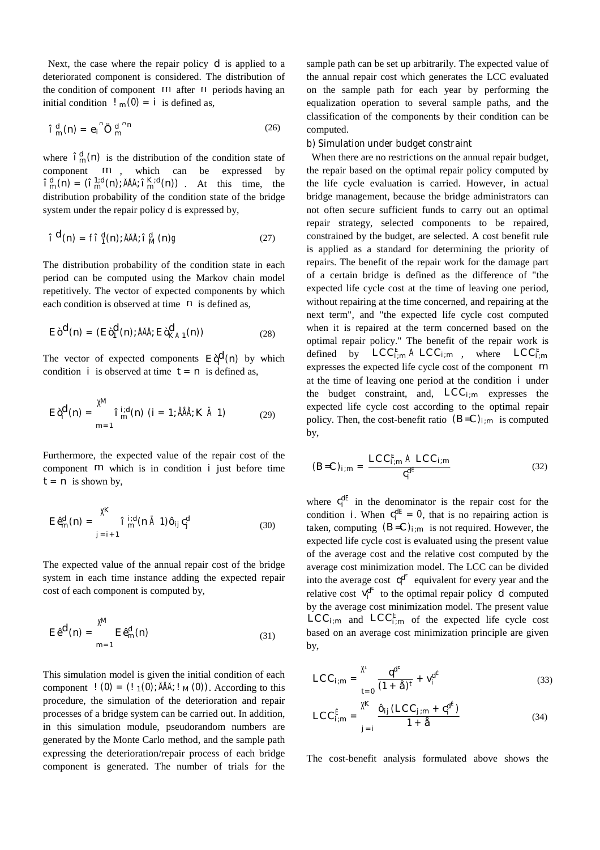Next, the case where the repair policy d is applied to a deteriorated component is considered. The distribution of the condition of component  $m$  after  $n$  periods having an initial condition  $\ln m(0) = i$  is defined as,

$$
\hat{\mathbf{I}}_{\mathsf{m}}^{\mathsf{d}}(\mathsf{n}) = e_{\mathsf{i}}^{\mathsf{n}} \mathsf{O}_{\mathsf{m}}^{\mathsf{d}}^{\mathsf{n}} \mathsf{n} \tag{26}
$$

where  $\hat{\mathsf{I}}_{\mathsf{m}}^{\mathsf{d}}(\mathsf{n})$  is the distribution of the condition state of component m , which can be expressed by  $\hat{\mathsf{I}}_{\mathsf{m}}^{\mathsf{d}}(\mathsf{n}) = (\hat{\mathsf{I}}_{\mathsf{m}}^{\mathsf{1};\mathsf{d}}(\mathsf{n});\overrightarrow{\mathsf{A}}\mathsf{A}\hat{\mathsf{l}}_{\mathsf{m}}^{\mathsf{K};\mathsf{d}}(\mathsf{n}))$  . At this time, the distribution probability of the condition state of the bridge system under the repair policy d is expressed by,

$$
\hat{\mathbf{I}}^{d}(n) = f \hat{\mathbf{I}}^{d}_{1}(n); \check{A}\check{A}\hat{\mathbf{A}} \hat{\mathbf{I}}^{d}_{M}(n)g
$$
 (27)

The distribution probability of the condition state in each period can be computed using the Markov chain model repetitively. The vector of expected components by which each condition is observed at time  $\Gamma$  is defined as,

$$
E\,d^{d}(n) = (E\,d^{d}(n); \widetilde{A} \widetilde{A} \widetilde{A} \, E \,d^{d}_{A\,1}(n)) \qquad (28)
$$

The vector of expected components  $E\dot{\phi}^d(n)$  by which condition 1 is observed at time  $t = n$  is defined as,

$$
E \, \hat{\varphi}^{l}(n) = \sum_{m=1}^{\mathcal{H}^{l}} \hat{I}_{m}^{i,d}(n) \, (i = 1; \hat{A} \hat{A} \hat{A} \, K \, \hat{A} \, 1) \tag{29}
$$

Furthermore, the expected value of the repair cost of the component m which is in condition i just before time  $t = n$  is shown by,

$$
E \, \xi_m^d(n) = \sum_{j=i+1}^{\mathcal{X}} \hat{I}_m^{i,d}(n \, \hat{A} \, 1) \hat{Q}_j \, c_j^d \tag{30}
$$

The expected value of the annual repair cost of the bridge system in each time instance adding the expected repair cost of each component is computed by,

$$
E\hat{e}^{d}(n) = \sum_{m=1}^{\mathcal{H}} E\hat{e}_m^d(n)
$$
 (31)

This simulation model is given the initial condition of each component ! (0) = (!  $_1$ (0);  $\cancel{\mathbf{A}}\cancel{\mathbf{A}}$ !  $_M$ (0)). According to this procedure, the simulation of the deterioration and repair processes of a bridge system can be carried out. In addition, in this simulation module, pseudorandom numbers are generated by the Monte Carlo method, and the sample path expressing the deterioration/repair process of each bridge component is generated. The number of trials for the sample path can be set up arbitrarily. The expected value of the annual repair cost which generates the LCC evaluated on the sample path for each year by performing the equalization operation to several sample paths, and the classification of the components by their condition can be computed.

## **b) Simulation under budget constraint**

When there are no restrictions on the annual repair budget, the repair based on the optimal repair policy computed by the life cycle evaluation is carried. However, in actual bridge management, because the bridge administrators can not often secure sufficient funds to carry out an optimal repair strategy, selected components to be repaired, constrained by the budget, are selected. A cost benefit rule is applied as a standard for determining the priority of repairs. The benefit of the repair work for the damage part of a certain bridge is defined as the difference of "the expected life cycle cost at the time of leaving one period, without repairing at the time concerned, and repairing at the next term", and "the expected life cycle cost computed when it is repaired at the term concerned based on the optimal repair policy." The benefit of the repair work is defined by  $\mathsf{LCC}^{\mathsf{E}}_{i;m}$  A  $\mathsf{LCC}_{i;m}$ , where  $\mathsf{LCC}^{\mathsf{E}}_{i;m}$ expresses the expected life cycle cost of the component m at the time of leaving one period at the condition i under the budget constraint, and,  $LCC_{i:m}$  expresses the expected life cycle cost according to the optimal repair policy. Then, the cost-benefit ratio  $(B=C)_{i,m}$  is computed by,

$$
(B=C)_{i;m} = \frac{\text{LCC}_{i;m}^{\text{E}} \text{A LCC}_{i;m}}{c_i^{d^{\text{E}}}}
$$
(32)

where  $c_i^{\text{dE}}$  in the denominator is the repair cost for the condition i. When  $C_i^{dE} = 0$ , that is no repairing action is taken, computing  $(B=C)_{i:m}$  is not required. However, the expected life cycle cost is evaluated using the present value of the average cost and the relative cost computed by the average cost minimization model. The LCC can be divided into the average cost  $q^{d^E}$  equivalent for every year and the relative cost  $V_i^{d^E}$  to the optimal repair policy d computed by the average cost minimization model. The present value  $LCC_{i;m}$  and  $LCC_{i;m}^E$  of the expected life cycle cost based on an average cost minimization principle are given by,

$$
\text{LCC}_{i;m} = \frac{X}{t=0} \frac{q^{d^E}}{(1+\hat{a})^t} + v_i^{d^E}
$$
(33)

$$
LCC_{i;m}^{\acute{E}} = \frac{\mathsf{X}}{j=i} \frac{\hat{q}_j (LCC_{j;m} + c_i^{d^{\acute{E}}})}{1 + \hat{a}}
$$
(34)

The cost-benefit analysis formulated above shows the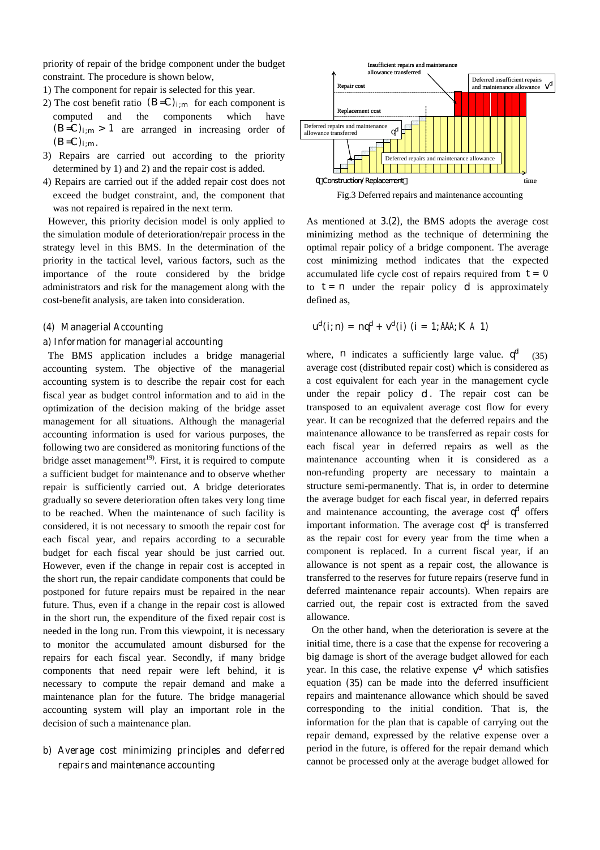priority of repair of the bridge component under the budget constraint. The procedure is shown below,

- 1) The component for repair is selected for this year.
- 2) The cost benefit ratio  $(B=C)_{i;m}$  for each component is computed and the components which have  $(B=C)_{i:m} > 1$  are arranged in increasing order of  $(B=C)_{i:m}$ .
- 3) Repairs are carried out according to the priority determined by 1) and 2) and the repair cost is added.
- 4) Repairs are carried out if the added repair cost does not exceed the budget constraint, and, the component that was not repaired is repaired in the next term.

However, this priority decision model is only applied to the simulation module of deterioration/repair process in the strategy level in this BMS. In the determination of the priority in the tactical level, various factors, such as the importance of the route considered by the bridge administrators and risk for the management along with the cost-benefit analysis, are taken into consideration.

#### **(4) Managerial Accounting**

#### **a) Information for managerial accounting**

The BMS application includes a bridge managerial accounting system. The objective of the managerial accounting system is to describe the repair cost for each fiscal year as budget control information and to aid in the optimization of the decision making of the bridge asset management for all situations. Although the managerial accounting information is used for various purposes, the following two are considered as monitoring functions of the bridge asset management<sup>19)</sup>. First, it is required to compute a sufficient budget for maintenance and to observe whether repair is sufficiently carried out. A bridge deteriorates gradually so severe deterioration often takes very long time to be reached. When the maintenance of such facility is considered, it is not necessary to smooth the repair cost for each fiscal year, and repairs according to a securable budget for each fiscal year should be just carried out. However, even if the change in repair cost is accepted in the short run, the repair candidate components that could be postponed for future repairs must be repaired in the near future. Thus, even if a change in the repair cost is allowed in the short run, the expenditure of the fixed repair cost is needed in the long run. From this viewpoint, it is necessary to monitor the accumulated amount disbursed for the repairs for each fiscal year. Secondly, if many bridge components that need repair were left behind, it is necessary to compute the repair demand and make a maintenance plan for the future. The bridge managerial accounting system will play an important role in the decision of such a maintenance plan.

## **b) Average cost minimizing principles and deferred repairs and maintenance accounting**



Fig.3 Deferred repairs and maintenance accounting

As mentioned at **3.(2)**, the BMS adopts the average cost minimizing method as the technique of determining the optimal repair policy of a bridge component. The average cost minimizing method indicates that the expected accumulated life cycle cost of repairs required from  $t = 0$ to  $t = n$  under the repair policy d is approximately defined as,

$$
u^{d}(i; n) = nq^{d} + v^{d}(i) (i = 1; \check{A} \check{A} \check{A} K \check{A} 1)
$$

where,  $\theta$  indicates a sufficiently large value.  $q^{d}$ average cost (distributed repair cost) which is considered as a cost equivalent for each year in the management cycle under the repair policy d . The repair cost can be transposed to an equivalent average cost flow for every year. It can be recognized that the deferred repairs and the maintenance allowance to be transferred as repair costs for each fiscal year in deferred repairs as well as the maintenance accounting when it is considered as a non-refunding property are necessary to maintain a structure semi-permanently. That is, in order to determine the average budget for each fiscal year, in deferred repairs and maintenance accounting, the average cost  $q<sup>d</sup>$  offers important information. The average cost  $q<sup>d</sup>$  is transferred as the repair cost for every year from the time when a component is replaced. In a current fiscal year, if an allowance is not spent as a repair cost, the allowance is transferred to the reserves for future repairs (reserve fund in deferred maintenance repair accounts). When repairs are carried out, the repair cost is extracted from the saved allowance.  $(35)$ 

On the other hand, when the deterioration is severe at the initial time, there is a case that the expense for recovering a big damage is short of the average budget allowed for each year. In this case, the relative expense  $v<sup>d</sup>$  which satisfies equation **(35)** can be made into the deferred insufficient repairs and maintenance allowance which should be saved corresponding to the initial condition. That is, the information for the plan that is capable of carrying out the repair demand, expressed by the relative expense over a period in the future, is offered for the repair demand which cannot be processed only at the average budget allowed for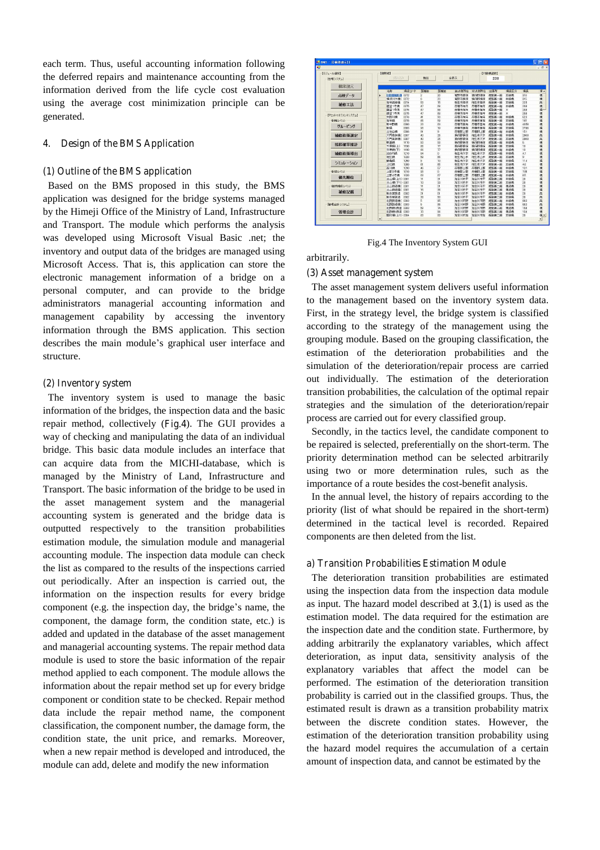each term. Thus, useful accounting information following the deferred repairs and maintenance accounting from the information derived from the life cycle cost evaluation using the average cost minimization principle can be generated.

## **4. Design of the BMS Application**

## **(1) Outline of the BMS application**

Based on the BMS proposed in this study, the BMS application was designed for the bridge systems managed by the Himeji Office of the Ministry of Land, Infrastructure and Transport. The module which performs the analysis was developed using Microsoft Visual Basic .net; the inventory and output data of the bridges are managed using Microsoft Access. That is, this application can store the electronic management information of a bridge on a personal computer, and can provide to the bridge administrators managerial accounting information and management capability by accessing the inventory information through the BMS application. This section describes the main module's graphical user interface and structure.

## **(2) Inventory system**

The inventory system is used to manage the basic information of the bridges, the inspection data and the basic repair method, collectively (**Fig.4**). The GUI provides a way of checking and manipulating the data of an individual bridge. This basic data module includes an interface that can acquire data from the MICHI-database, which is managed by the Ministry of Land, Infrastructure and Transport. The basic information of the bridge to be used in the asset management system and the managerial accounting system is generated and the bridge data is outputted respectively to the transition probabilities estimation module, the simulation module and managerial accounting module. The inspection data module can check the list as compared to the results of the inspections carried out periodically. After an inspection is carried out, the information on the inspection results for every bridge component (e.g. the inspection day, the bridge's name, the component, the damage form, the condition state, etc.) is added and updated in the database of the asset management and managerial accounting systems. The repair method data module is used to store the basic information of the repair method applied to each component. The module allows the information about the repair method set up for every bridge component or condition state to be checked. Repair method data include the repair method name, the component classification, the component number, the damage form, the condition state, the unit price, and remarks. Moreover, when a new repair method is developed and introduced, the module can add, delete and modify the new information



Fig.4 The Inventory System GUI

arbitrarily.

#### **(3) Asset management system**

The asset management system delivers useful information to the management based on the inventory system data. First, in the strategy level, the bridge system is classified according to the strategy of the management using the grouping module. Based on the grouping classification, the estimation of the deterioration probabilities and the simulation of the deterioration/repair process are carried out individually. The estimation of the deterioration transition probabilities, the calculation of the optimal repair strategies and the simulation of the deterioration/repair process are carried out for every classified group.

Secondly, in the tactics level, the candidate component to be repaired is selected, preferentially on the short-term. The priority determination method can be selected arbitrarily using two or more determination rules, such as the importance of a route besides the cost-benefit analysis.

In the annual level, the history of repairs according to the priority (list of what should be repaired in the short-term) determined in the tactical level is recorded. Repaired components are then deleted from the list.

#### **a) Transition Probabilities Estimation Module**

The deterioration transition probabilities are estimated using the inspection data from the inspection data module as input. The hazard model described at **3.(1)** is used as the estimation model. The data required for the estimation are the inspection date and the condition state. Furthermore, by adding arbitrarily the explanatory variables, which affect deterioration, as input data, sensitivity analysis of the explanatory variables that affect the model can be performed. The estimation of the deterioration transition probability is carried out in the classified groups. Thus, the estimated result is drawn as a transition probability matrix between the discrete condition states. However, the estimation of the deterioration transition probability using the hazard model requires the accumulation of a certain amount of inspection data, and cannot be estimated by the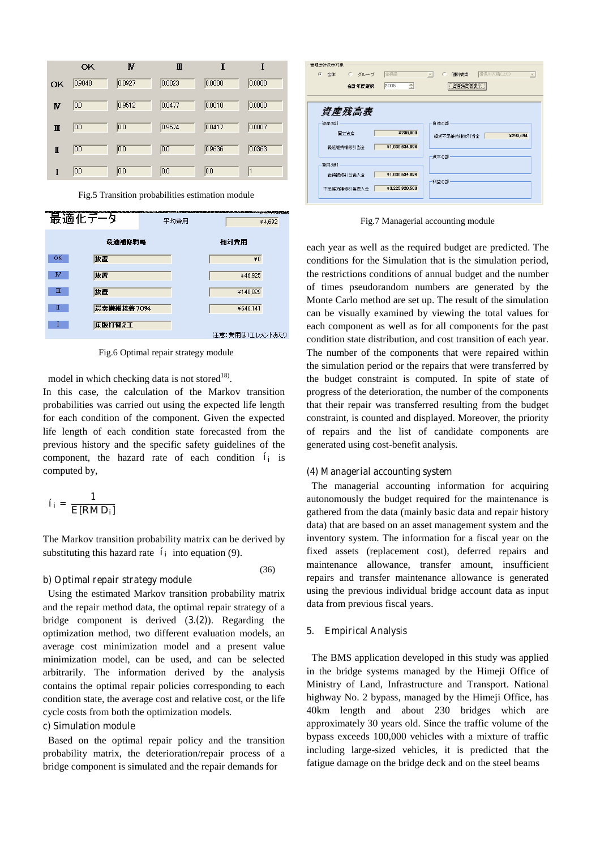|             | OK     | N      | $\blacksquare$ | $\mathbf I$ |        |
|-------------|--------|--------|----------------|-------------|--------|
| OK          | 0.9048 | 0.0927 | 0.0023         | 0.0000      | 0.0000 |
| N           | 0.0    | 0.9512 | 0.0477         | 0.0010      | 0.0000 |
| Ш           | 0.0    | 0.0    | 0.9574         | 0.0417      | 0.0007 |
| $\mathbf I$ | 0.0    | 0.0    | 0.0            | 0.9636      | 0.0363 |
| Ī           | 0.0    | 0.0    | 0.0            | 0.0         | 1      |
|             |        |        |                |             |        |

Fig.5 Transition probabilities estimation module



Fig.6 Optimal repair strategy module

model in which checking data is not stored<sup>18)</sup>.

In this case, the calculation of the Markov transition probabilities was carried out using the expected life length for each condition of the component. Given the expected life length of each condition state forecasted from the previous history and the specific safety guidelines of the component, the hazard rate of each condition  $i_i$  is computed by,

$$
i_i = \frac{1}{E[RMD_i]}
$$

The Markov transition probability matrix can be derived by substituting this hazard rate  $i_i$  into equation (9).

#### **b) Optimal repair strategy module**

(36)

Using the estimated Markov transition probability matrix and the repair method data, the optimal repair strategy of a bridge component is derived (**3.(2)**). Regarding the optimization method, two different evaluation models, an average cost minimization model and a present value minimization model, can be used, and can be selected arbitrarily. The information derived by the analysis contains the optimal repair policies corresponding to each condition state, the average cost and relative cost, or the life cycle costs from both the optimization models.

## **c) Simulation module**

Based on the optimal repair policy and the transition probability matrix, the deterioration/repair process of a bridge component is simulated and the repair demands for

| 管理会計表示対象<br>G.<br>○ グループ<br>全体<br>会計年度選択 | 全橋梁<br>2005<br>÷                 | 揖保川大橋(上り)<br>C<br>個別橋梁<br>$\overline{\phantom{a}}$<br>$\overline{v}$<br>资産残高表表示 |
|------------------------------------------|----------------------------------|---------------------------------------------------------------------------------|
| 資産残高表<br>資産の部                            |                                  | 自信の部                                                                            |
| 固定資産<br>繰延維持補修引当金                        | ¥238.000<br>¥1,030,634,894       | ¥293.694<br>繰延不足維持補修引当金<br>資本の部                                                 |
| 費用の部<br>維持補修引当編入金<br>不足維持補修引当繰入金         | ¥1,030,634,894<br>¥3,225,920,500 | 利益の部                                                                            |

Fig.7 Managerial accounting module

each year as well as the required budget are predicted. The conditions for the Simulation that is the simulation period, the restrictions conditions of annual budget and the number of times pseudorandom numbers are generated by the Monte Carlo method are set up. The result of the simulation can be visually examined by viewing the total values for each component as well as for all components for the past condition state distribution, and cost transition of each year. The number of the components that were repaired within the simulation period or the repairs that were transferred by the budget constraint is computed. In spite of state of progress of the deterioration, the number of the components that their repair was transferred resulting from the budget constraint, is counted and displayed. Moreover, the priority of repairs and the list of candidate components are generated using cost-benefit analysis.

## **(4) Managerial accounting system**

The managerial accounting information for acquiring autonomously the budget required for the maintenance is gathered from the data (mainly basic data and repair history data) that are based on an asset management system and the inventory system. The information for a fiscal year on the fixed assets (replacement cost), deferred repairs and maintenance allowance, transfer amount, insufficient repairs and transfer maintenance allowance is generated using the previous individual bridge account data as input data from previous fiscal years.

#### **5. Empirical Analysis**

The BMS application developed in this study was applied in the bridge systems managed by the Himeji Office of Ministry of Land, Infrastructure and Transport. National highway No. 2 bypass, managed by the Himeji Office, has 40km length and about 230 bridges which are approximately 30 years old. Since the traffic volume of the bypass exceeds 100,000 vehicles with a mixture of traffic including large-sized vehicles, it is predicted that the fatigue damage on the bridge deck and on the steel beams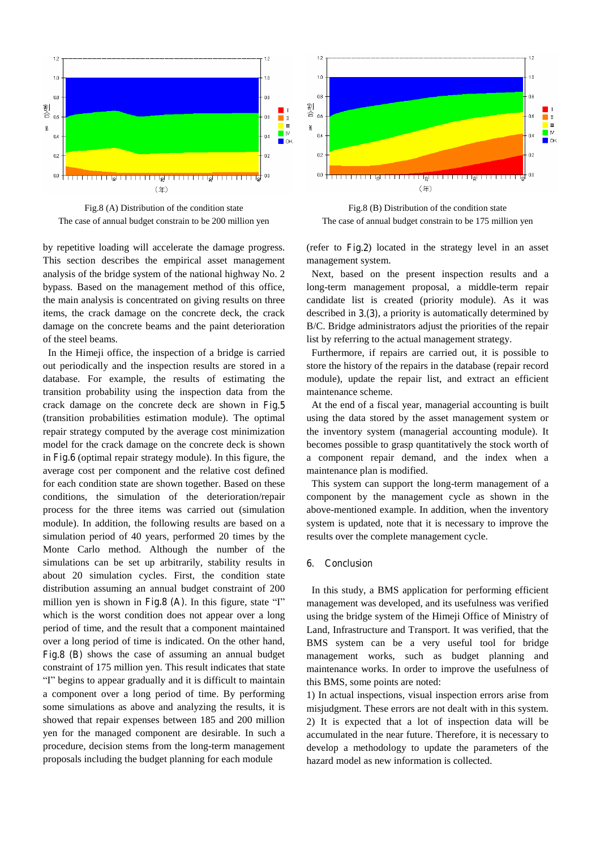

Fig.8 (A) Distribution of the condition state The case of annual budget constrain to be 200 million yen

by repetitive loading will accelerate the damage progress. This section describes the empirical asset management analysis of the bridge system of the national highway No. 2 bypass. Based on the management method of this office, the main analysis is concentrated on giving results on three items, the crack damage on the concrete deck, the crack damage on the concrete beams and the paint deterioration of the steel beams.

In the Himeji office, the inspection of a bridge is carried out periodically and the inspection results are stored in a database. For example, the results of estimating the transition probability using the inspection data from the crack damage on the concrete deck are shown in **Fig.5** (transition probabilities estimation module). The optimal repair strategy computed by the average cost minimization model for the crack damage on the concrete deck is shown in **Fig.6** (optimal repair strategy module). In this figure, the average cost per component and the relative cost defined for each condition state are shown together. Based on these conditions, the simulation of the deterioration/repair process for the three items was carried out (simulation module). In addition, the following results are based on a simulation period of 40 years, performed 20 times by the Monte Carlo method. Although the number of the simulations can be set up arbitrarily, stability results in about 20 simulation cycles. First, the condition state distribution assuming an annual budget constraint of 200 million yen is shown in **Fig.8 (A)**. In this figure, state "I" which is the worst condition does not appear over a long period of time, and the result that a component maintained over a long period of time is indicated. On the other hand, **Fig.8 (B)** shows the case of assuming an annual budget constraint of 175 million yen. This result indicates that state "I" begins to appear gradually and it is difficult to maintain a component over a long period of time. By performing some simulations as above and analyzing the results, it is showed that repair expenses between 185 and 200 million yen for the managed component are desirable. In such a procedure, decision stems from the long-term management proposals including the budget planning for each module



Fig.8 (B) Distribution of the condition state The case of annual budget constrain to be 175 million yen

(refer to **Fig.2**) located in the strategy level in an asset management system.

Next, based on the present inspection results and a long-term management proposal, a middle-term repair candidate list is created (priority module). As it was described in **3.(3)**, a priority is automatically determined by B/C. Bridge administrators adjust the priorities of the repair list by referring to the actual management strategy.

Furthermore, if repairs are carried out, it is possible to store the history of the repairs in the database (repair record module), update the repair list, and extract an efficient maintenance scheme.

At the end of a fiscal year, managerial accounting is built using the data stored by the asset management system or the inventory system (managerial accounting module). It becomes possible to grasp quantitatively the stock worth of a component repair demand, and the index when a maintenance plan is modified.

This system can support the long-term management of a component by the management cycle as shown in the above-mentioned example. In addition, when the inventory system is updated, note that it is necessary to improve the results over the complete management cycle.

#### **6. Conclusion**

In this study, a BMS application for performing efficient management was developed, and its usefulness was verified using the bridge system of the Himeji Office of Ministry of Land, Infrastructure and Transport. It was verified, that the BMS system can be a very useful tool for bridge management works, such as budget planning and maintenance works. In order to improve the usefulness of this BMS, some points are noted:

1) In actual inspections, visual inspection errors arise from misjudgment. These errors are not dealt with in this system. 2) It is expected that a lot of inspection data will be accumulated in the near future. Therefore, it is necessary to develop a methodology to update the parameters of the hazard model as new information is collected.